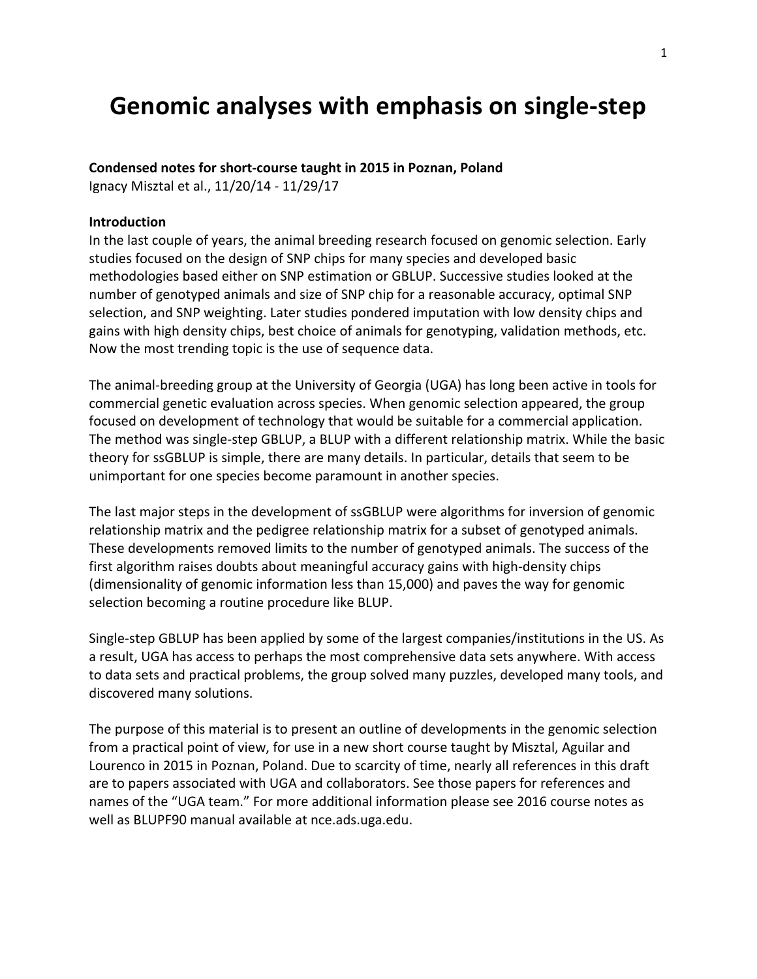# **Genomic analyses with emphasis on single-step**

## Condensed notes for short-course taught in 2015 in Poznan, Poland

Ignacy Misztal et al., 11/20/14 - 11/29/17

#### **Introduction**

In the last couple of years, the animal breeding research focused on genomic selection. Early studies focused on the design of SNP chips for many species and developed basic methodologies based either on SNP estimation or GBLUP. Successive studies looked at the number of genotyped animals and size of SNP chip for a reasonable accuracy, optimal SNP selection, and SNP weighting. Later studies pondered imputation with low density chips and gains with high density chips, best choice of animals for genotyping, validation methods, etc. Now the most trending topic is the use of sequence data.

The animal-breeding group at the University of Georgia (UGA) has long been active in tools for commercial genetic evaluation across species. When genomic selection appeared, the group focused on development of technology that would be suitable for a commercial application. The method was single-step GBLUP, a BLUP with a different relationship matrix. While the basic theory for ssGBLUP is simple, there are many details. In particular, details that seem to be unimportant for one species become paramount in another species.

The last major steps in the development of ssGBLUP were algorithms for inversion of genomic relationship matrix and the pedigree relationship matrix for a subset of genotyped animals. These developments removed limits to the number of genotyped animals. The success of the first algorithm raises doubts about meaningful accuracy gains with high-density chips (dimensionality of genomic information less than 15,000) and paves the way for genomic selection becoming a routine procedure like BLUP.

Single-step GBLUP has been applied by some of the largest companies/institutions in the US. As a result, UGA has access to perhaps the most comprehensive data sets anywhere. With access to data sets and practical problems, the group solved many puzzles, developed many tools, and discovered many solutions.

The purpose of this material is to present an outline of developments in the genomic selection from a practical point of view, for use in a new short course taught by Misztal, Aguilar and Lourenco in 2015 in Poznan, Poland. Due to scarcity of time, nearly all references in this draft are to papers associated with UGA and collaborators. See those papers for references and names of the "UGA team." For more additional information please see 2016 course notes as well as BLUPF90 manual available at nce.ads.uga.edu.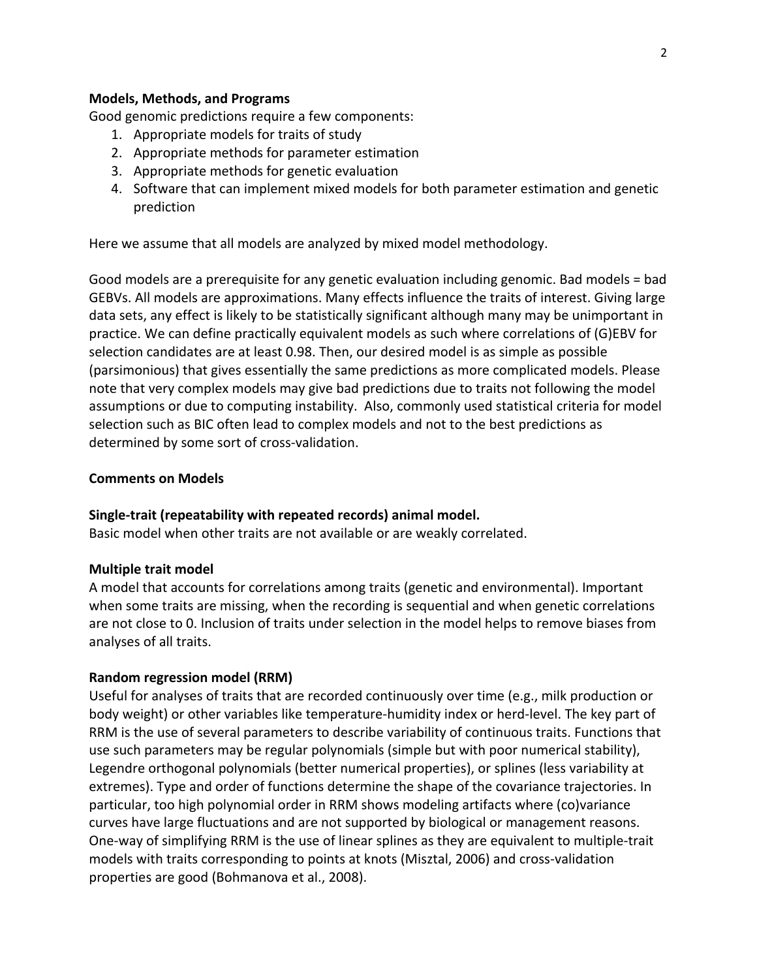## **Models, Methods, and Programs**

Good genomic predictions require a few components:

- 1. Appropriate models for traits of study
- 2. Appropriate methods for parameter estimation
- 3. Appropriate methods for genetic evaluation
- 4. Software that can implement mixed models for both parameter estimation and genetic prediction

Here we assume that all models are analyzed by mixed model methodology.

Good models are a prerequisite for any genetic evaluation including genomic. Bad models = bad GEBVs. All models are approximations. Many effects influence the traits of interest. Giving large data sets, any effect is likely to be statistically significant although many may be unimportant in practice. We can define practically equivalent models as such where correlations of (G)EBV for selection candidates are at least 0.98. Then, our desired model is as simple as possible (parsimonious) that gives essentially the same predictions as more complicated models. Please note that very complex models may give bad predictions due to traits not following the model assumptions or due to computing instability. Also, commonly used statistical criteria for model selection such as BIC often lead to complex models and not to the best predictions as determined by some sort of cross-validation.

#### **Comments on Models**

#### Single-trait (repeatability with repeated records) animal model.

Basic model when other traits are not available or are weakly correlated.

#### **Multiple trait model**

A model that accounts for correlations among traits (genetic and environmental). Important when some traits are missing, when the recording is sequential and when genetic correlations are not close to 0. Inclusion of traits under selection in the model helps to remove biases from analyses of all traits.

#### **Random regression model (RRM)**

Useful for analyses of traits that are recorded continuously over time (e.g., milk production or body weight) or other variables like temperature-humidity index or herd-level. The key part of RRM is the use of several parameters to describe variability of continuous traits. Functions that use such parameters may be regular polynomials (simple but with poor numerical stability), Legendre orthogonal polynomials (better numerical properties), or splines (less variability at extremes). Type and order of functions determine the shape of the covariance trajectories. In particular, too high polynomial order in RRM shows modeling artifacts where (co)variance curves have large fluctuations and are not supported by biological or management reasons. One-way of simplifying RRM is the use of linear splines as they are equivalent to multiple-trait models with traits corresponding to points at knots (Misztal, 2006) and cross-validation properties are good (Bohmanova et al., 2008).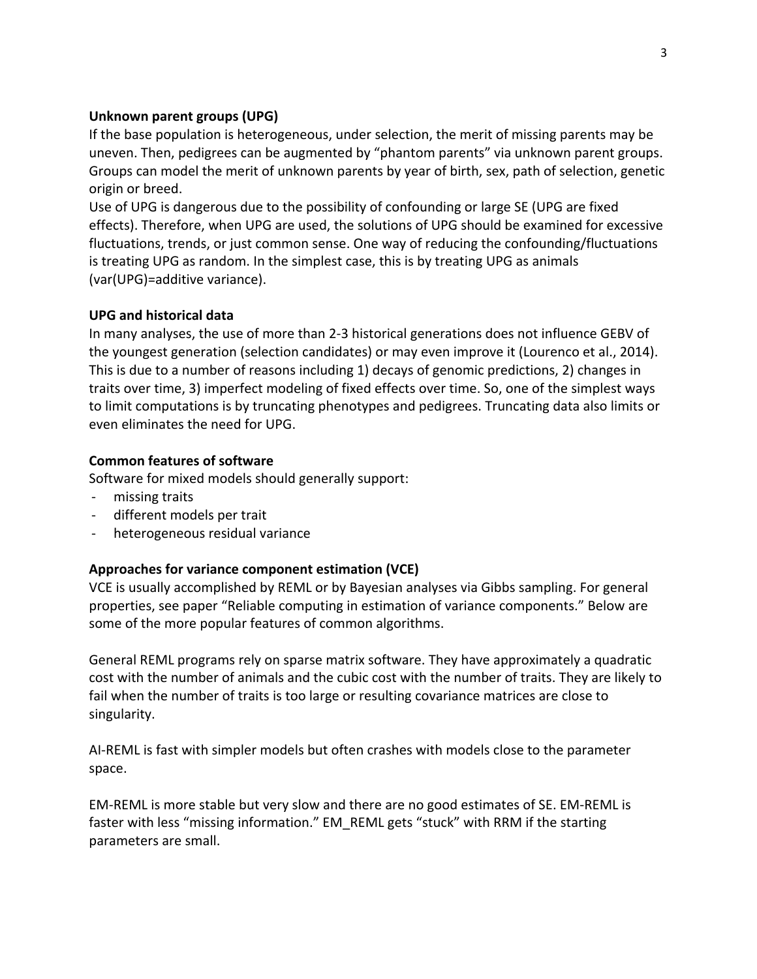## **Unknown parent groups (UPG)**

If the base population is heterogeneous, under selection, the merit of missing parents may be uneven. Then, pedigrees can be augmented by "phantom parents" via unknown parent groups. Groups can model the merit of unknown parents by year of birth, sex, path of selection, genetic origin or breed.

Use of UPG is dangerous due to the possibility of confounding or large SE (UPG are fixed effects). Therefore, when UPG are used, the solutions of UPG should be examined for excessive fluctuations, trends, or just common sense. One way of reducing the confounding/fluctuations is treating UPG as random. In the simplest case, this is by treating UPG as animals (var(UPG)=additive variance).

## **UPG and historical data**

In many analyses, the use of more than 2-3 historical generations does not influence GEBV of the youngest generation (selection candidates) or may even improve it (Lourenco et al., 2014). This is due to a number of reasons including 1) decays of genomic predictions, 2) changes in traits over time, 3) imperfect modeling of fixed effects over time. So, one of the simplest ways to limit computations is by truncating phenotypes and pedigrees. Truncating data also limits or even eliminates the need for UPG.

## **Common features of software**

Software for mixed models should generally support:

- missing traits
- different models per trait
- heterogeneous residual variance

## Approaches for variance component estimation (VCE)

VCE is usually accomplished by REML or by Bayesian analyses via Gibbs sampling. For general properties, see paper "Reliable computing in estimation of variance components." Below are some of the more popular features of common algorithms.

General REML programs rely on sparse matrix software. They have approximately a quadratic cost with the number of animals and the cubic cost with the number of traits. They are likely to fail when the number of traits is too large or resulting covariance matrices are close to singularity. 

AI-REML is fast with simpler models but often crashes with models close to the parameter space. 

EM-REML is more stable but very slow and there are no good estimates of SE. EM-REML is faster with less "missing information." EM\_REML gets "stuck" with RRM if the starting parameters are small.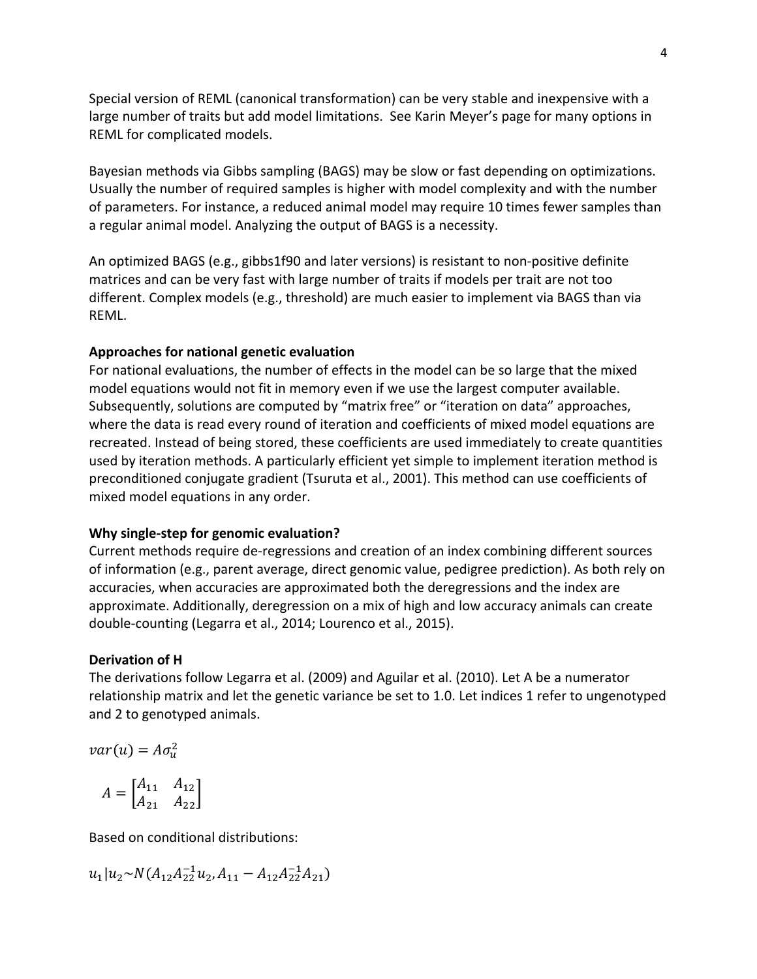Special version of REML (canonical transformation) can be very stable and inexpensive with a large number of traits but add model limitations. See Karin Meyer's page for many options in REML for complicated models.

Bayesian methods via Gibbs sampling (BAGS) may be slow or fast depending on optimizations. Usually the number of required samples is higher with model complexity and with the number of parameters. For instance, a reduced animal model may require 10 times fewer samples than a regular animal model. Analyzing the output of BAGS is a necessity.

An optimized BAGS (e.g., gibbs1f90 and later versions) is resistant to non-positive definite matrices and can be very fast with large number of traits if models per trait are not too different. Complex models (e.g., threshold) are much easier to implement via BAGS than via REML. 

## Approaches for national genetic evaluation

For national evaluations, the number of effects in the model can be so large that the mixed model equations would not fit in memory even if we use the largest computer available. Subsequently, solutions are computed by "matrix free" or "iteration on data" approaches, where the data is read every round of iteration and coefficients of mixed model equations are recreated. Instead of being stored, these coefficients are used immediately to create quantities used by iteration methods. A particularly efficient yet simple to implement iteration method is preconditioned conjugate gradient (Tsuruta et al., 2001). This method can use coefficients of mixed model equations in any order.

## **Why single-step for genomic evaluation?**

Current methods require de-regressions and creation of an index combining different sources of information (e.g., parent average, direct genomic value, pedigree prediction). As both rely on accuracies, when accuracies are approximated both the deregressions and the index are approximate. Additionally, deregression on a mix of high and low accuracy animals can create double-counting (Legarra et al., 2014; Lourenco et al., 2015).

## **Derivation of H**

The derivations follow Legarra et al. (2009) and Aguilar et al. (2010). Let A be a numerator relationship matrix and let the genetic variance be set to 1.0. Let indices 1 refer to ungenotyped and 2 to genotyped animals.

$$
var(u) = A\sigma_u^2
$$

$$
A = \begin{bmatrix} A_{11} & A_{12} \\ A_{21} & A_{22} \end{bmatrix}
$$

Based on conditional distributions:

$$
u_1|u_2\!\sim\! N(A_{12}A_{22}^{-1}u_2,A_{11}-A_{12}A_{22}^{-1}A_{21})
$$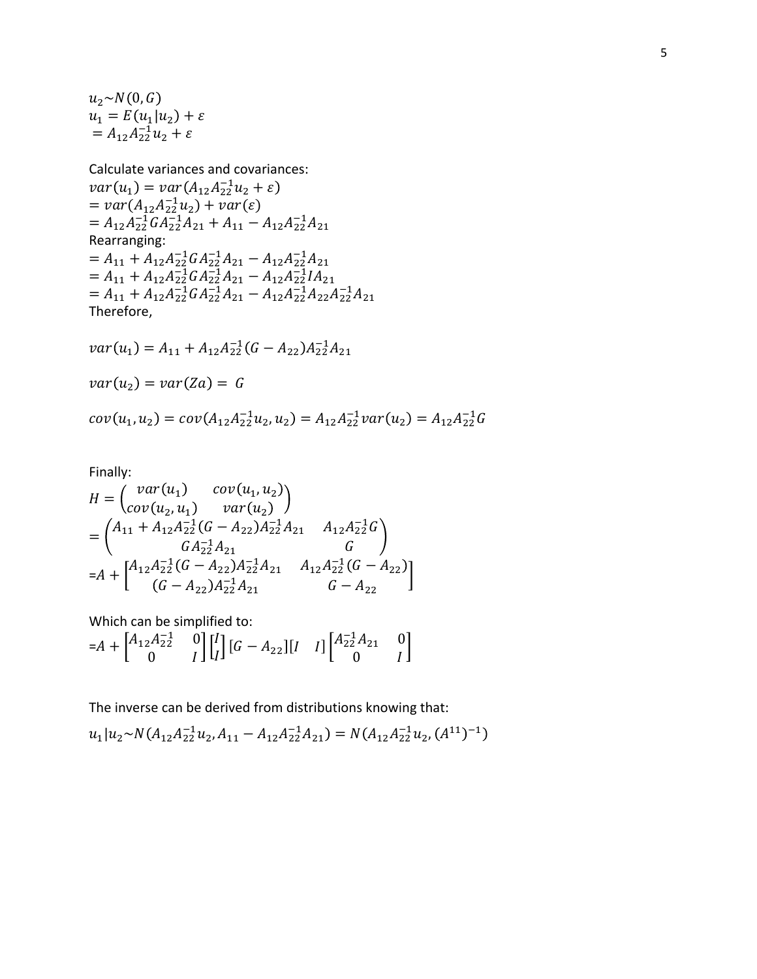$u_2 \sim N(0, G)$  $u_1 = E(u_1|u_2) + \varepsilon$ =  $A_{12}A_{22}^{-1}u_2 + \varepsilon$ 

Calculate variances and covariances:  $var(u_1) = var(A_{12}A_{22}^{-1}u_2 + \varepsilon)$ =  $var(A_{12}A_{22}^{-1}u_2) + var(\varepsilon)$ =  $A_{12}A_{22}^{-1}A_{22}^{-1}A_{21}^{-1}A_{21} + A_{11} - A_{12}A_{22}^{-1}A_{21}$ Rearranging: =  $A_{11} + A_{12}A_{22}^{-1}GA_{22}^{-1}A_{21} - A_{12}A_{22}^{-1}A_{21}$ <br>=  $A_{11} + A_{12}A_{22}^{-1}GA_{22}^{-1}A_{21} - A_{12}A_{22}^{-1}IA_{21}$  $= A_{11} + A_{12}A_{22}^{-1}GA_{21}^{-1}A_{21} - A_{12}A_{22}^{-1}A_{22}A_{21}^{-1}A_{21}$ Therefore,

$$
var(u_1) = A_{11} + A_{12}A_{22}^{-1}(G - A_{22})A_{22}^{-1}A_{21}
$$
  

$$
var(u_2) = var(Za) = G
$$
  

$$
cov(u_1, u_2) = cov(A_{12}A_{22}^{-1}u_2, u_2) = A_{12}A_{22}^{-1}var(u_2) = A_{12}A_{22}^{-1}G
$$

Finally:

$$
H = \begin{pmatrix} var(u_1) & cov(u_1, u_2) \\ cov(u_2, u_1) & var(u_2) \end{pmatrix}
$$
  
=  $\begin{pmatrix} A_{11} + A_{12}A_{22}^{-1}(G - A_{22})A_{22}^{-1}A_{21} & A_{12}A_{22}^{-1}G \\ G A_{22}^{-1}A_{21} & G \end{pmatrix}$   
=  $A + \begin{bmatrix} A_{12}A_{22}^{-1}(G - A_{22})A_{22}^{-1}A_{21} & A_{12}A_{22}^{-1}(G - A_{22}) \\ (G - A_{22})A_{22}^{-1}A_{21} & G - A_{22} \end{bmatrix}$ .

Which can be simplified to:

$$
=A + \begin{bmatrix} A_{12}A_{22}^{-1} & 0 \\ 0 & I \end{bmatrix} \begin{bmatrix} I \\ I \end{bmatrix} \begin{bmatrix} G - A_{22} \end{bmatrix} \begin{bmatrix} I & I \end{bmatrix} \begin{bmatrix} A_{22}^{-1}A_{21} & 0 \\ 0 & I \end{bmatrix}
$$

The inverse can be derived from distributions knowing that:

$$
u_1|u_2 \sim N(A_{12}A_{22}^{-1}u_2, A_{11} - A_{12}A_{22}^{-1}A_{21}) = N(A_{12}A_{22}^{-1}u_2, (A^{11})^{-1})
$$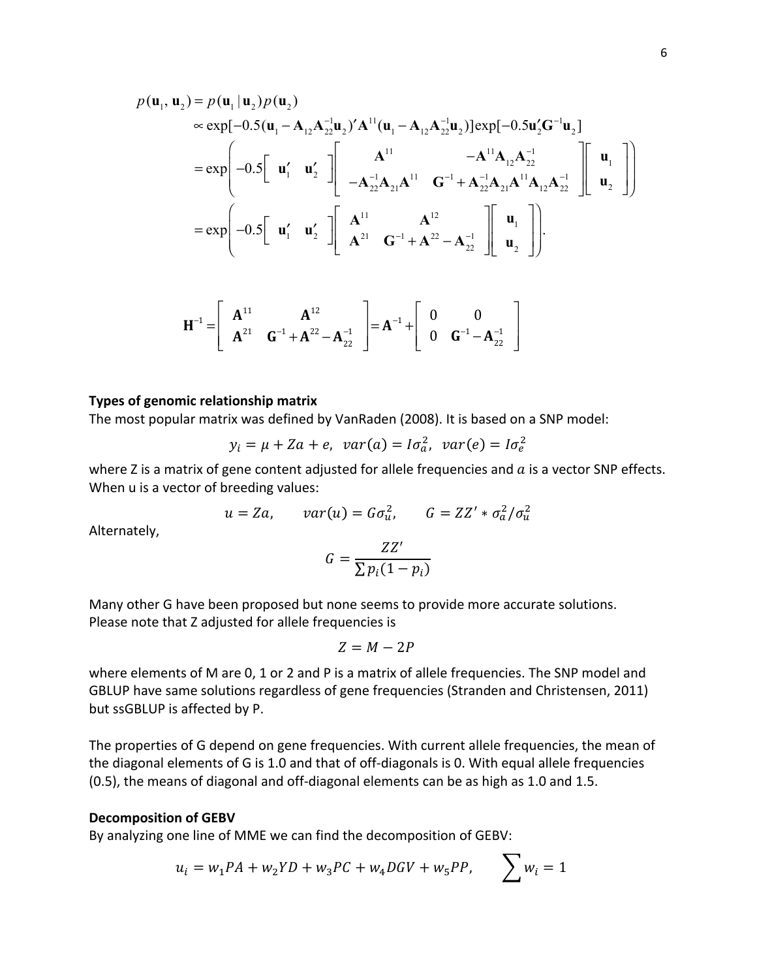$$
p(\mathbf{u}_{1}, \mathbf{u}_{2}) = p(\mathbf{u}_{1} | \mathbf{u}_{2}) p(\mathbf{u}_{2})
$$
  
\n
$$
\approx \exp[-0.5(\mathbf{u}_{1} - \mathbf{A}_{12}\mathbf{A}_{22}^{-1}\mathbf{u}_{2})'\mathbf{A}^{11}(\mathbf{u}_{1} - \mathbf{A}_{12}\mathbf{A}_{22}^{-1}\mathbf{u}_{2})]\exp[-0.5\mathbf{u}_{2}'\mathbf{G}^{-1}\mathbf{u}_{2}]
$$
  
\n
$$
= \exp\left(-0.5\begin{bmatrix} \mathbf{u}_{1}' & \mathbf{u}_{2}' \end{bmatrix} \begin{bmatrix} \mathbf{A}^{11} & -\mathbf{A}^{11}\mathbf{A}_{12}\mathbf{A}_{22}^{-1} \\ -\mathbf{A}_{22}^{-1}\mathbf{A}_{21}\mathbf{A}^{11} & \mathbf{G}^{-1} + \mathbf{A}_{22}^{-1}\mathbf{A}_{21}\mathbf{A}^{11}\mathbf{A}_{12}\mathbf{A}_{22}^{-1} \end{bmatrix} \begin{bmatrix} \mathbf{u}_{1} \\ \mathbf{u}_{2} \end{bmatrix} \right)
$$
  
\n
$$
= \exp\left(-0.5\begin{bmatrix} \mathbf{u}_{1}' & \mathbf{u}_{2}' \end{bmatrix} \begin{bmatrix} \mathbf{A}^{11} & \mathbf{A}^{12} \\ \mathbf{A}^{21} & \mathbf{G}^{-1} + \mathbf{A}^{22} - \mathbf{A}_{22}^{-1} \end{bmatrix} \begin{bmatrix} \mathbf{u}_{1} \\ \mathbf{u}_{2} \end{bmatrix} \right).
$$

$$
\mathbf{H}^{-1} = \begin{bmatrix} \mathbf{A}^{11} & \mathbf{A}^{12} \\ \mathbf{A}^{21} & \mathbf{G}^{-1} + \mathbf{A}^{22} - \mathbf{A}_{22}^{-1} \end{bmatrix} = \mathbf{A}^{-1} + \begin{bmatrix} 0 & 0 \\ 0 & \mathbf{G}^{-1} - \mathbf{A}_{22}^{-1} \end{bmatrix}
$$

#### **Types of genomic relationship matrix**

The most popular matrix was defined by VanRaden (2008). It is based on a SNP model:

$$
y_i = \mu + Za + e, \quad var(a) = I\sigma_a^2, \quad var(e) = I\sigma_e^2
$$

where Z is a matrix of gene content adjusted for allele frequencies and  $a$  is a vector SNP effects. When u is a vector of breeding values:

$$
u = Za, \qquad var(u) = G\sigma_u^2, \qquad G = ZZ' * \sigma_a^2 / \sigma_u^2
$$

Alternately,

$$
G = \frac{ZZ'}{\sum p_i (1 - p_i)}
$$

Many other G have been proposed but none seems to provide more accurate solutions. Please note that Z adjusted for allele frequencies is

$$
Z = M - 2P
$$

where elements of M are 0, 1 or 2 and P is a matrix of allele frequencies. The SNP model and GBLUP have same solutions regardless of gene frequencies (Stranden and Christensen, 2011) but ssGBLUP is affected by P.

The properties of G depend on gene frequencies. With current allele frequencies, the mean of the diagonal elements of G is 1.0 and that of off-diagonals is 0. With equal allele frequencies (0.5), the means of diagonal and off-diagonal elements can be as high as 1.0 and 1.5.

#### **Decomposition of GEBV**

By analyzing one line of MME we can find the decomposition of GEBV:

$$
u_i = w_1 P A + w_2 Y D + w_3 P C + w_4 D G V + w_5 P P, \qquad \sum w_i = 1
$$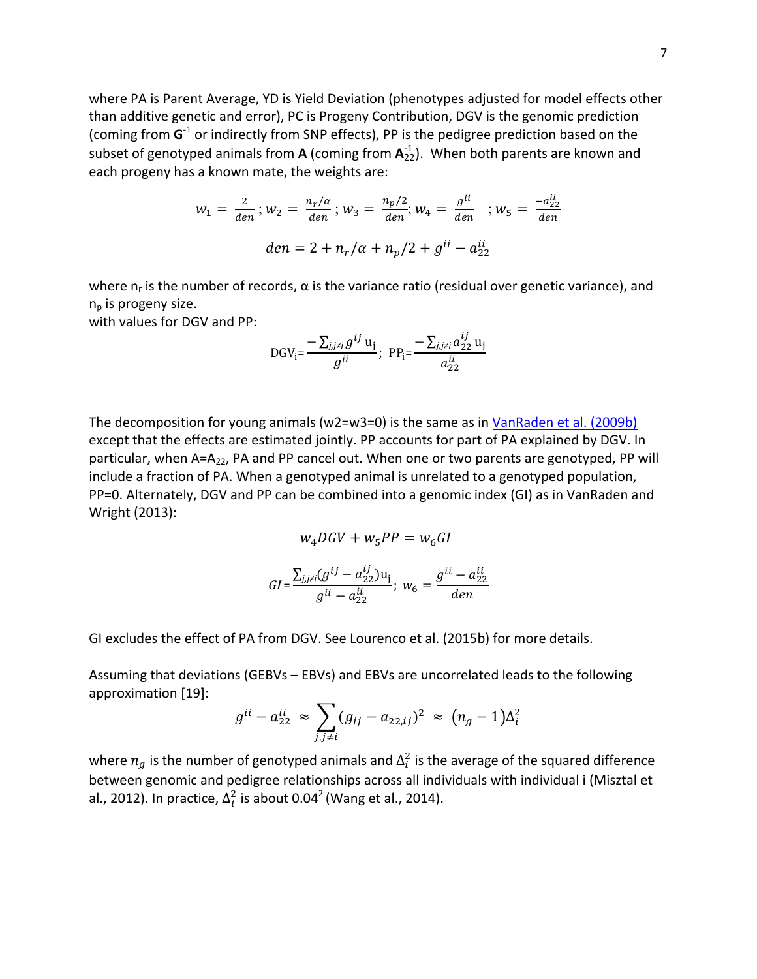where PA is Parent Average, YD is Yield Deviation (phenotypes adjusted for model effects other than additive genetic and error), PC is Progeny Contribution, DGV is the genomic prediction (coming from  $G^1$  or indirectly from SNP effects), PP is the pedigree prediction based on the subset of genotyped animals from **A** (coming from  $\mathbf{A}_{22}^{.1}$ ). When both parents are known and each progeny has a known mate, the weights are:

$$
w_1 = \frac{2}{den} ; w_2 = \frac{n_r/a}{den} ; w_3 = \frac{n_p/2}{den} ; w_4 = \frac{g^{ii}}{den} ; w_5 = \frac{-a_{22}^{ii}}{den}
$$
  

$$
den = 2 + n_r/a + n_p/2 + g^{ii} - a_{22}^{ii}
$$

where  $n_r$  is the number of records,  $\alpha$  is the variance ratio (residual over genetic variance), and  $n_p$  is progeny size.

with values for DGV and PP:

DGV<sub>i</sub> = 
$$
\frac{-\sum_{j,j\neq i} g^{ij} u_j}{g^{ii}}
$$
; PP<sub>i</sub> =  $\frac{-\sum_{j,j\neq i} a_{22}^{ij} u_j}{a_{22}^{ii}}$ 

The decomposition for young animals (w2=w3=0) is the same as in VanRaden et al. (2009b) except that the effects are estimated jointly. PP accounts for part of PA explained by DGV. In particular, when  $A=A_{22}$ , PA and PP cancel out. When one or two parents are genotyped, PP will include a fraction of PA. When a genotyped animal is unrelated to a genotyped population, PP=0. Alternately, DGV and PP can be combined into a genomic index (GI) as in VanRaden and Wright (2013):

$$
w_4 DGV + w_5 PP = w_6 GI
$$
  

$$
GI = \frac{\sum_{j,j\neq i} (g^{ij} - a_{22}^{ij}) u_j}{g^{ii} - a_{22}^{ii}}; \ w_6 = \frac{g^{ii} - a_{22}^{ii}}{den}
$$

GI excludes the effect of PA from DGV. See Lourenco et al. (2015b) for more details.

Assuming that deviations  $(GEBVs – EBVs)$  and EBVs are uncorrelated leads to the following approximation [19]:

$$
g^{ii} - a_{22}^{ii} \approx \sum_{j,j \neq i} (g_{ij} - a_{22,ij})^2 \approx (n_g - 1) \Delta_i^2
$$

where  $n_g$  is the number of genotyped animals and  $\Delta_i^2$  is the average of the squared difference between genomic and pedigree relationships across all individuals with individual i (Misztal et al., 2012). In practice,  $\Delta_i^2$  is about 0.04<sup>2</sup> (Wang et al., 2014).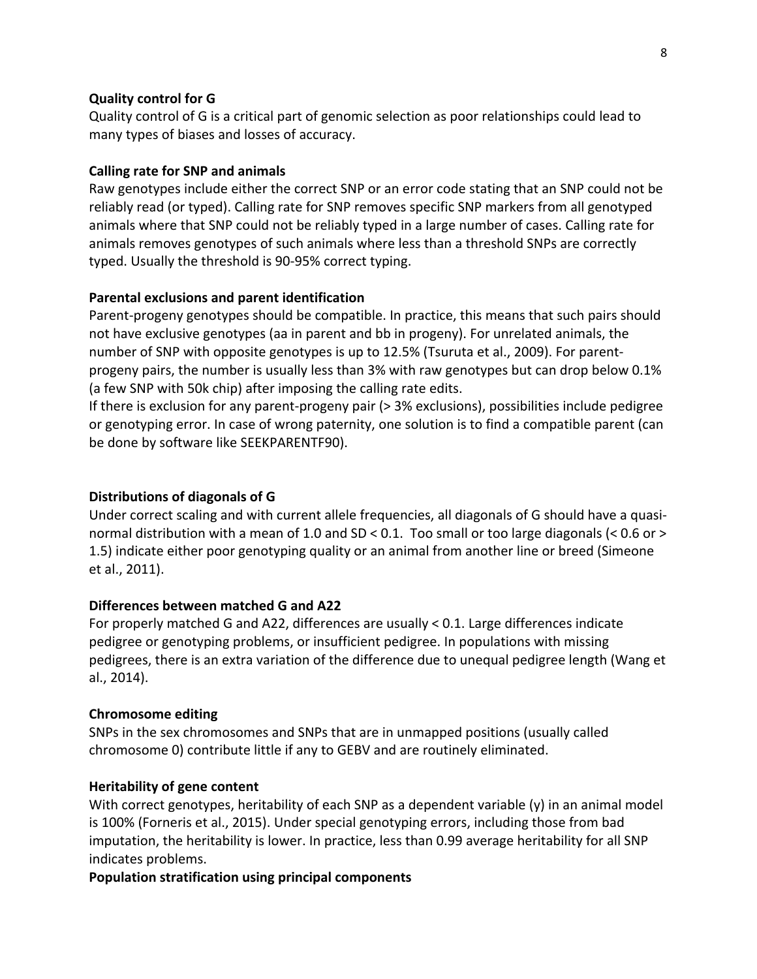## **Quality control for G**

Quality control of G is a critical part of genomic selection as poor relationships could lead to many types of biases and losses of accuracy.

#### **Calling rate for SNP and animals**

Raw genotypes include either the correct SNP or an error code stating that an SNP could not be reliably read (or typed). Calling rate for SNP removes specific SNP markers from all genotyped animals where that SNP could not be reliably typed in a large number of cases. Calling rate for animals removes genotypes of such animals where less than a threshold SNPs are correctly typed. Usually the threshold is 90-95% correct typing.

#### **Parental exclusions and parent identification**

Parent-progeny genotypes should be compatible. In practice, this means that such pairs should not have exclusive genotypes (aa in parent and bb in progeny). For unrelated animals, the number of SNP with opposite genotypes is up to 12.5% (Tsuruta et al., 2009). For parentprogeny pairs, the number is usually less than 3% with raw genotypes but can drop below 0.1% (a few SNP with 50k chip) after imposing the calling rate edits.

If there is exclusion for any parent-progeny pair  $(> 3%$  exclusions), possibilities include pedigree or genotyping error. In case of wrong paternity, one solution is to find a compatible parent (can be done by software like SEEKPARENTF90).

## **Distributions of diagonals of G**

Under correct scaling and with current allele frequencies, all diagonals of G should have a quasinormal distribution with a mean of 1.0 and SD < 0.1. Too small or too large diagonals (< 0.6 or > 1.5) indicate either poor genotyping quality or an animal from another line or breed (Simeone et al., 2011).

## **Differences between matched G and A22**

For properly matched G and A22, differences are usually  $< 0.1$ . Large differences indicate pedigree or genotyping problems, or insufficient pedigree. In populations with missing pedigrees, there is an extra variation of the difference due to unequal pedigree length (Wang et al., 2014).

#### **Chromosome editing**

SNPs in the sex chromosomes and SNPs that are in unmapped positions (usually called chromosome 0) contribute little if any to GEBV and are routinely eliminated.

#### **Heritability of gene content**

With correct genotypes, heritability of each SNP as a dependent variable  $(y)$  in an animal model is 100% (Forneris et al., 2015). Under special genotyping errors, including those from bad imputation, the heritability is lower. In practice, less than 0.99 average heritability for all SNP indicates problems.

**Population stratification using principal components**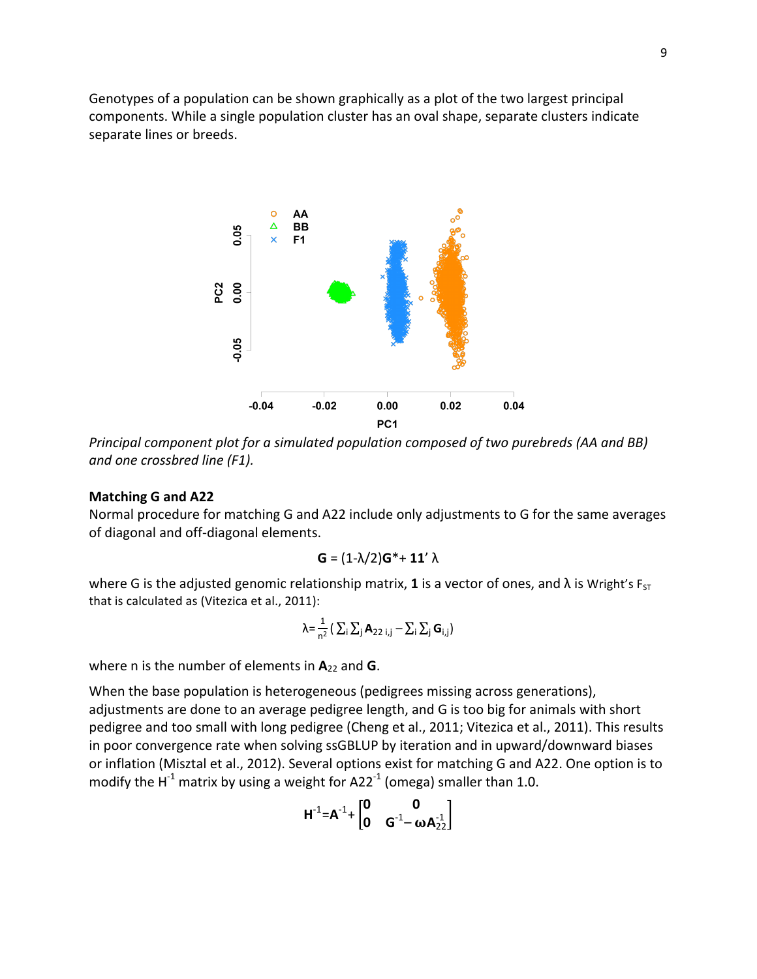Genotypes of a population can be shown graphically as a plot of the two largest principal components. While a single population cluster has an oval shape, separate clusters indicate separate lines or breeds.



*Principal component plot for a simulated population composed of two purebreds (AA and BB) and one crossbred line (F1).*

## **Matching G and A22**

Normal procedure for matching G and A22 include only adjustments to G for the same averages of diagonal and off-diagonal elements.

$$
G = (1-\lambda/2)G^* + 11' \lambda
$$

where G is the adjusted genomic relationship matrix, 1 is a vector of ones, and  $\lambda$  is Wright's  $F_{ST}$ that is calculated as (Vitezica et al., 2011):

$$
\lambda = \frac{1}{n^2} \left( \sum_i \sum_j \mathbf{A}_{22 i,j} - \sum_i \sum_j \mathbf{G}_{i,j} \right)
$$

where n is the number of elements in  $A_{22}$  and  $G$ .

When the base population is heterogeneous (pedigrees missing across generations), adjustments are done to an average pedigree length, and G is too big for animals with short pedigree and too small with long pedigree (Cheng et al., 2011; Vitezica et al., 2011). This results in poor convergence rate when solving ssGBLUP by iteration and in upward/downward biases or inflation (Misztal et al., 2012). Several options exist for matching G and A22. One option is to modify the  $H^{-1}$  matrix by using a weight for A22<sup>-1</sup> (omega) smaller than 1.0.

$$
H^{-1} \text{=} A^{-1} \text{+} \begin{bmatrix} 0 & 0 \\ 0 & G^{-1} \text{--} \omega A^{-1}_{22} \end{bmatrix}
$$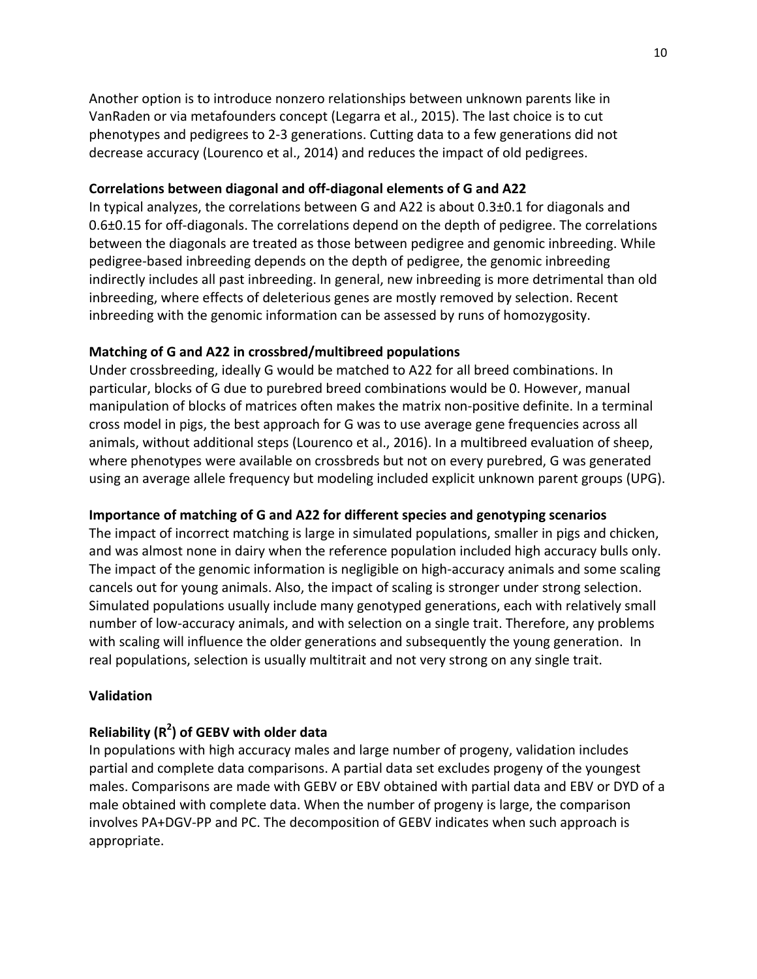Another option is to introduce nonzero relationships between unknown parents like in VanRaden or via metafounders concept (Legarra et al., 2015). The last choice is to cut phenotypes and pedigrees to 2-3 generations. Cutting data to a few generations did not decrease accuracy (Lourenco et al., 2014) and reduces the impact of old pedigrees.

## Correlations between diagonal and off-diagonal elements of G and A22

In typical analyzes, the correlations between G and A22 is about  $0.3\pm0.1$  for diagonals and 0.6±0.15 for off-diagonals. The correlations depend on the depth of pedigree. The correlations between the diagonals are treated as those between pedigree and genomic inbreeding. While pedigree-based inbreeding depends on the depth of pedigree, the genomic inbreeding indirectly includes all past inbreeding. In general, new inbreeding is more detrimental than old inbreeding, where effects of deleterious genes are mostly removed by selection. Recent inbreeding with the genomic information can be assessed by runs of homozygosity.

#### **Matching of G and A22 in crossbred/multibreed populations**

Under crossbreeding, ideally G would be matched to A22 for all breed combinations. In particular, blocks of G due to purebred breed combinations would be 0. However, manual manipulation of blocks of matrices often makes the matrix non-positive definite. In a terminal cross model in pigs, the best approach for G was to use average gene frequencies across all animals, without additional steps (Lourenco et al., 2016). In a multibreed evaluation of sheep, where phenotypes were available on crossbreds but not on every purebred, G was generated using an average allele frequency but modeling included explicit unknown parent groups (UPG).

#### **Importance of matching of G and A22 for different species and genotyping scenarios**

The impact of incorrect matching is large in simulated populations, smaller in pigs and chicken, and was almost none in dairy when the reference population included high accuracy bulls only. The impact of the genomic information is negligible on high-accuracy animals and some scaling cancels out for young animals. Also, the impact of scaling is stronger under strong selection. Simulated populations usually include many genotyped generations, each with relatively small number of low-accuracy animals, and with selection on a single trait. Therefore, any problems with scaling will influence the older generations and subsequently the young generation. In real populations, selection is usually multitrait and not very strong on any single trait.

## **Validation**

# **Reliability (R2 ) of GEBV with older data**

In populations with high accuracy males and large number of progeny, validation includes partial and complete data comparisons. A partial data set excludes progeny of the youngest males. Comparisons are made with GEBV or EBV obtained with partial data and EBV or DYD of a male obtained with complete data. When the number of progeny is large, the comparison involves PA+DGV-PP and PC. The decomposition of GEBV indicates when such approach is appropriate.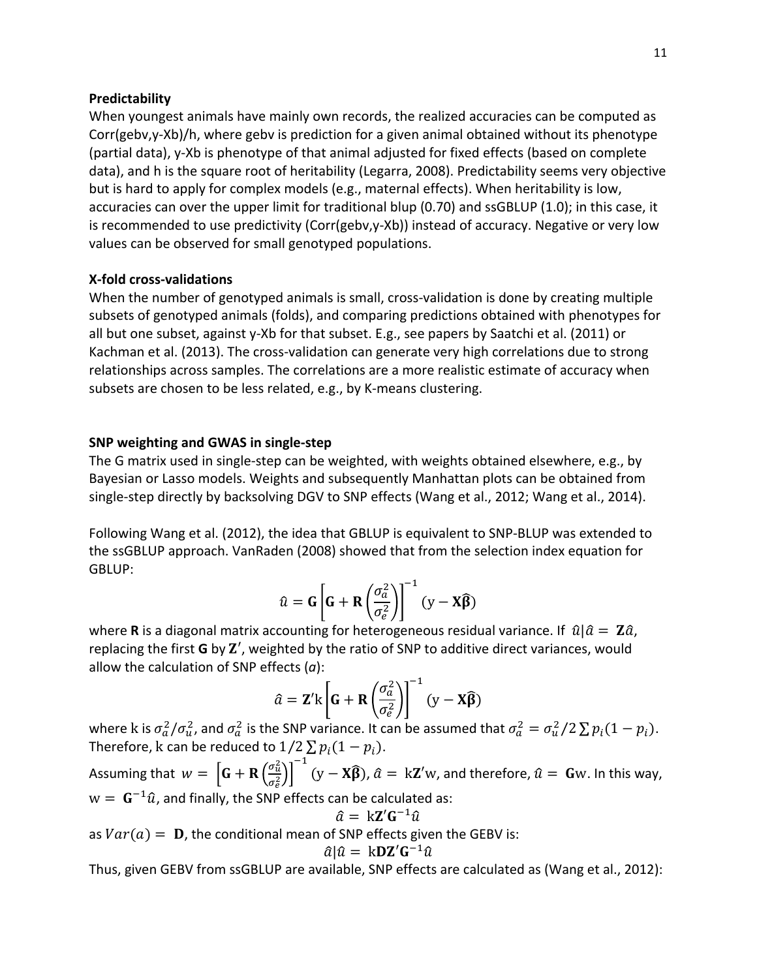#### **Predictability**

When youngest animals have mainly own records, the realized accuracies can be computed as Corr(gebv,y-Xb)/h, where gebv is prediction for a given animal obtained without its phenotype (partial data), y-Xb is phenotype of that animal adjusted for fixed effects (based on complete data), and h is the square root of heritability (Legarra, 2008). Predictability seems very objective but is hard to apply for complex models (e.g., maternal effects). When heritability is low, accuracies can over the upper limit for traditional blup (0.70) and ssGBLUP (1.0); in this case, it is recommended to use predictivity  $(Corr(geby,y-Xb))$  instead of accuracy. Negative or very low values can be observed for small genotyped populations.

## **X-fold cross-validations**

When the number of genotyped animals is small, cross-validation is done by creating multiple subsets of genotyped animals (folds), and comparing predictions obtained with phenotypes for all but one subset, against y-Xb for that subset. E.g., see papers by Saatchi et al. (2011) or Kachman et al. (2013). The cross-validation can generate very high correlations due to strong relationships across samples. The correlations are a more realistic estimate of accuracy when subsets are chosen to be less related, e.g., by K-means clustering.

#### **SNP** weighting and GWAS in single-step

The G matrix used in single-step can be weighted, with weights obtained elsewhere, e.g., by Bayesian or Lasso models. Weights and subsequently Manhattan plots can be obtained from single-step directly by backsolving DGV to SNP effects (Wang et al., 2012; Wang et al., 2014).

Following Wang et al. (2012), the idea that GBLUP is equivalent to SNP-BLUP was extended to the ssGBLUP approach. VanRaden (2008) showed that from the selection index equation for GBLUP:

$$
\hat{u} = G \left[ G + R \left( \frac{\sigma_a^2}{\sigma_e^2} \right) \right]^{-1} (y - X\widehat{\beta})
$$

where **R** is a diagonal matrix accounting for heterogeneous residual variance. If  $\hat{u}|\hat{a} = \mathbf{Z}\hat{a}$ , replacing the first  $\bf G$  by  $\bf Z'$ , weighted by the ratio of SNP to additive direct variances, would allow the calculation of SNP effects  $(a)$ :

$$
\hat{a} = \mathbf{Z}' \mathbf{k} \left[ \mathbf{G} + \mathbf{R} \left( \frac{\sigma_a^2}{\sigma_e^2} \right) \right]^{-1} (\mathbf{y} - \mathbf{X} \hat{\boldsymbol{\beta}})
$$

where k is  $\sigma_a^2/\sigma_u^2$ , and  $\sigma_a^2$  is the SNP variance. It can be assumed that  $\sigma_a^2=\sigma_u^2/2\sum p_i(1-p_i).$ Therefore, k can be reduced to  $1/2 \sum p_i(1 - p_i)$ .

Assuming that  $w = \left[\mathbf{G} + \mathbf{R} \left( \frac{\sigma_u^2}{\sigma_u^2} \right) \right]$  $\sigma_e^2$  $-1$  $(y - X\hat{\beta})$ ,  $\hat{a} = kZ'w$ , and therefore,  $\hat{u} = Gw$ . In this way,  $w = G^{-1}\hat{u}$ , and finally, the SNP effects can be calculated as:

$$
\hat{a} = k\mathbf{Z}'\mathbf{G}^{-1}\hat{u}
$$

as  $Var(a) = D$ , the conditional mean of SNP effects given the GEBV is:

$$
\hat{a}|\hat{u} = \mathbf{k} \mathbf{D} \mathbf{Z}' \mathbf{G}^{-1} \hat{u}
$$

Thus, given GEBV from ssGBLUP are available, SNP effects are calculated as (Wang et al., 2012):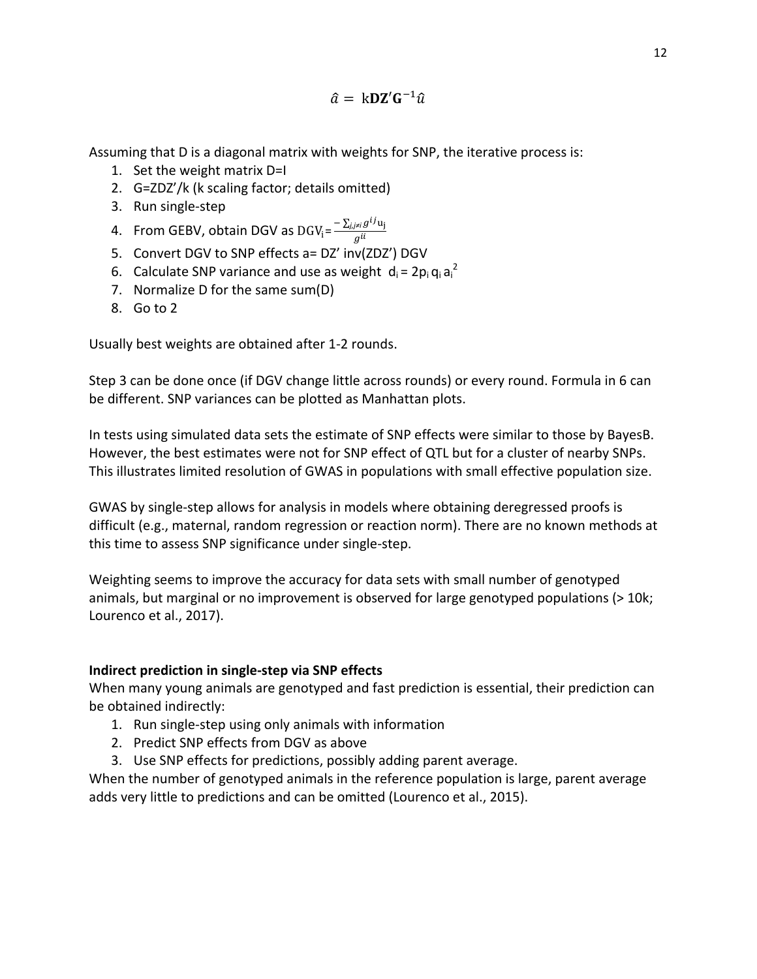$\hat{a} = kDZ'G^{-1}\hat{u}$ 

Assuming that D is a diagonal matrix with weights for SNP, the iterative process is:

- 1. Set the weight matrix D=I
- 2. G=ZDZ'/k (k scaling factor; details omitted)
- 3. Run single-step
- 4. From GEBV, obtain DGV as  $\text{DGV}_{\text{i}} = \frac{-\sum_{j,j\neq l} g^{ij} \textbf{u}_j}{g^{ii}}$
- 5. Convert DGV to SNP effects a= DZ' inv(ZDZ') DGV
- 6. Calculate SNP variance and use as weight  $d_i = 2p_i q_i a_i^2$
- 7. Normalize D for the same sum(D)
- 8. Go to 2

Usually best weights are obtained after 1-2 rounds.

Step 3 can be done once (if DGV change little across rounds) or every round. Formula in 6 can be different. SNP variances can be plotted as Manhattan plots.

In tests using simulated data sets the estimate of SNP effects were similar to those by BayesB. However, the best estimates were not for SNP effect of QTL but for a cluster of nearby SNPs. This illustrates limited resolution of GWAS in populations with small effective population size.

GWAS by single-step allows for analysis in models where obtaining deregressed proofs is difficult (e.g., maternal, random regression or reaction norm). There are no known methods at this time to assess SNP significance under single-step.

Weighting seems to improve the accuracy for data sets with small number of genotyped animals, but marginal or no improvement is observed for large genotyped populations (> 10k; Lourenco et al., 2017).

# **Indirect prediction in single-step via SNP effects**

When many young animals are genotyped and fast prediction is essential, their prediction can be obtained indirectly:

- 1. Run single-step using only animals with information
- 2. Predict SNP effects from DGV as above
- 3. Use SNP effects for predictions, possibly adding parent average.

When the number of genotyped animals in the reference population is large, parent average adds very little to predictions and can be omitted (Lourenco et al., 2015).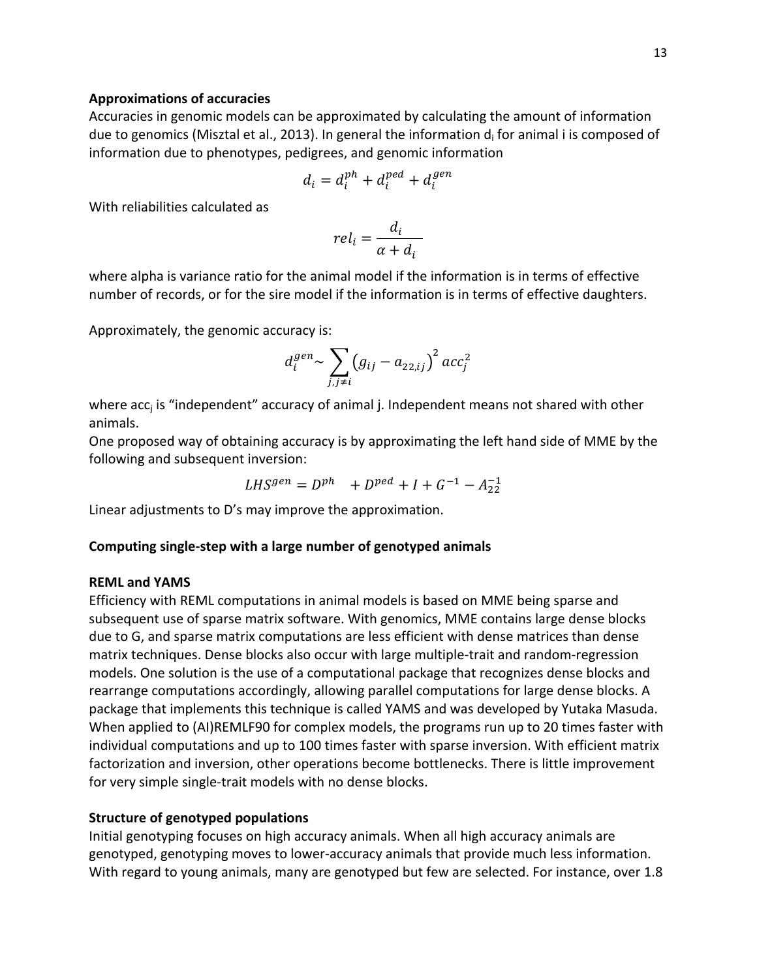## **Approximations of accuracies**

Accuracies in genomic models can be approximated by calculating the amount of information due to genomics (Misztal et al., 2013). In general the information  $d_i$  for animal i is composed of information due to phenotypes, pedigrees, and genomic information

$$
d_i = d_i^{ph} + d_i^{ped} + d_i^{gen}
$$

With reliabilities calculated as

$$
rel_i = \frac{d_i}{\alpha + d_i}
$$

where alpha is variance ratio for the animal model if the information is in terms of effective number of records, or for the sire model if the information is in terms of effective daughters.

Approximately, the genomic accuracy is:

$$
d_i^{gen} \sim \sum_{j,j \neq i} (g_{ij} - a_{22,ij})^2 acc_j^2
$$

where  $acc_i$  is "independent" accuracy of animal j. Independent means not shared with other animals. 

One proposed way of obtaining accuracy is by approximating the left hand side of MME by the following and subsequent inversion:

$$
LHS^{gen} = D^{ph} + D^{ped} + I + G^{-1} - A_{22}^{-1}
$$

Linear adjustments to D's may improve the approximation.

## Computing single-step with a large number of genotyped animals

#### **REML and YAMS**

Efficiency with REML computations in animal models is based on MME being sparse and subsequent use of sparse matrix software. With genomics, MME contains large dense blocks due to G, and sparse matrix computations are less efficient with dense matrices than dense matrix techniques. Dense blocks also occur with large multiple-trait and random-regression models. One solution is the use of a computational package that recognizes dense blocks and rearrange computations accordingly, allowing parallel computations for large dense blocks. A package that implements this technique is called YAMS and was developed by Yutaka Masuda. When applied to (AI)REMLF90 for complex models, the programs run up to 20 times faster with individual computations and up to 100 times faster with sparse inversion. With efficient matrix factorization and inversion, other operations become bottlenecks. There is little improvement for very simple single-trait models with no dense blocks.

#### **Structure of genotyped populations**

Initial genotyping focuses on high accuracy animals. When all high accuracy animals are genotyped, genotyping moves to lower-accuracy animals that provide much less information. With regard to young animals, many are genotyped but few are selected. For instance, over 1.8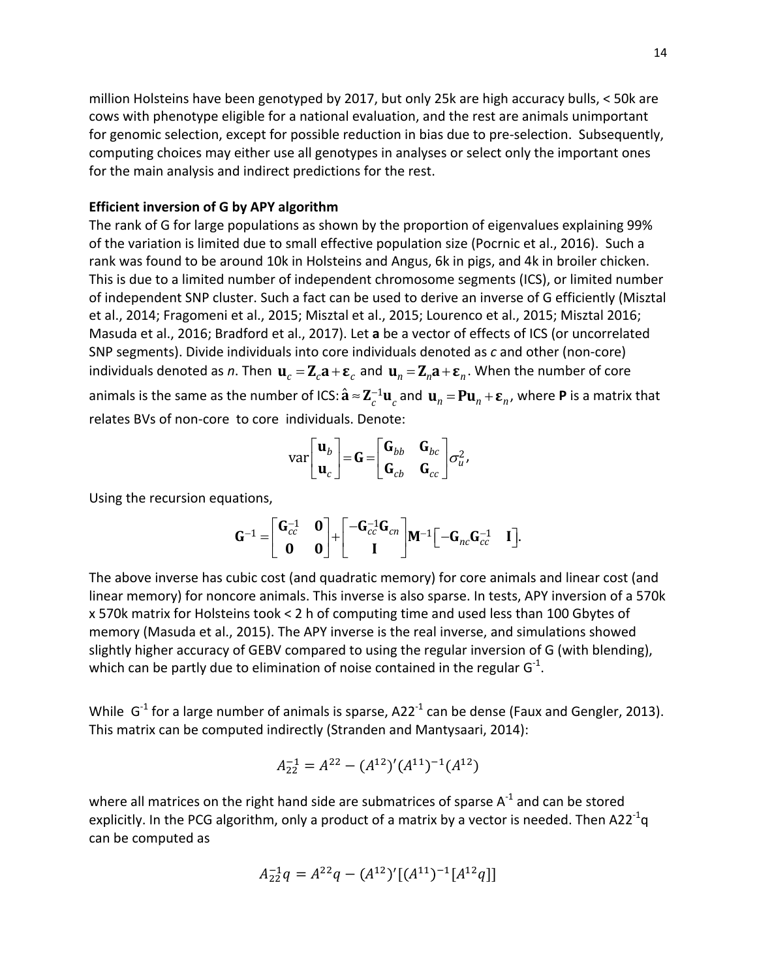million Holsteins have been genotyped by 2017, but only 25k are high accuracy bulls,  $\lt$  50k are cows with phenotype eligible for a national evaluation, and the rest are animals unimportant for genomic selection, except for possible reduction in bias due to pre-selection. Subsequently, computing choices may either use all genotypes in analyses or select only the important ones for the main analysis and indirect predictions for the rest.

### **Efficient inversion of G by APY algorithm**

The rank of G for large populations as shown by the proportion of eigenvalues explaining 99% of the variation is limited due to small effective population size (Pocrnic et al., 2016). Such a rank was found to be around 10k in Holsteins and Angus, 6k in pigs, and 4k in broiler chicken. This is due to a limited number of independent chromosome segments (ICS), or limited number of independent SNP cluster. Such a fact can be used to derive an inverse of G efficiently (Misztal et al., 2014; Fragomeni et al., 2015; Misztal et al., 2015; Lourenco et al., 2015; Misztal 2016; Masuda et al., 2016; Bradford et al., 2017). Let **a** be a vector of effects of ICS (or uncorrelated SNP segments). Divide individuals into core individuals denoted as c and other (non-core) individuals denoted as *n*. Then  $\mathbf{u}_c = \mathbf{Z}_c \mathbf{a} + \mathbf{\varepsilon}_c$  and  $\mathbf{u}_n = \mathbf{Z}_n \mathbf{a} + \mathbf{\varepsilon}_n$ . When the number of core animals is the same as the number of ICS:  $\hat{\bf a} \approx {\bf Z}_c^{-1} {\bf u}_c$  and  $\,{\bf u}_n = {\bf P} {\bf u}_n + {\bf \varepsilon}_n$ , where  ${\bf P}$  is a matrix that relates BVs of non-core to core individuals. Denote:

$$
\text{var}\begin{bmatrix} \mathbf{u}_b \\ \mathbf{u}_c \end{bmatrix} = \mathbf{G} = \begin{bmatrix} \mathbf{G}_{bb} & \mathbf{G}_{bc} \\ \mathbf{G}_{cb} & \mathbf{G}_{cc} \end{bmatrix} \sigma_u^2,
$$

Using the recursion equations,

$$
\mathbf{G}^{-1} = \begin{bmatrix} \mathbf{G}_{cc}^{-1} & \mathbf{0} \\ \mathbf{0} & \mathbf{0} \end{bmatrix} + \begin{bmatrix} -\mathbf{G}_{cc}^{-1}\mathbf{G}_{cn} \\ \mathbf{I} \end{bmatrix} \mathbf{M}^{-1} \begin{bmatrix} -\mathbf{G}_{nc}\mathbf{G}_{cc}^{-1} & \mathbf{I} \end{bmatrix}.
$$

The above inverse has cubic cost (and quadratic memory) for core animals and linear cost (and linear memory) for noncore animals. This inverse is also sparse. In tests, APY inversion of a 570k x 570k matrix for Holsteins took < 2 h of computing time and used less than 100 Gbytes of memory (Masuda et al., 2015). The APY inverse is the real inverse, and simulations showed slightly higher accuracy of GEBV compared to using the regular inversion of G (with blending), which can be partly due to elimination of noise contained in the regular G<sup>-1</sup>.

While  $G^{-1}$  for a large number of animals is sparse, A22<sup>-1</sup> can be dense (Faux and Gengler, 2013). This matrix can be computed indirectly (Stranden and Mantysaari, 2014):

$$
A_{22}^{-1} = A^{22} - (A^{12})'(A^{11})^{-1}(A^{12})
$$

where all matrices on the right hand side are submatrices of sparse  $A^{-1}$  and can be stored explicitly. In the PCG algorithm, only a product of a matrix by a vector is needed. Then A22<sup>-1</sup>q can be computed as

$$
A_{22}^{-1}q = A^{22}q - (A^{12})'[(A^{11})^{-1}[A^{12}q]]
$$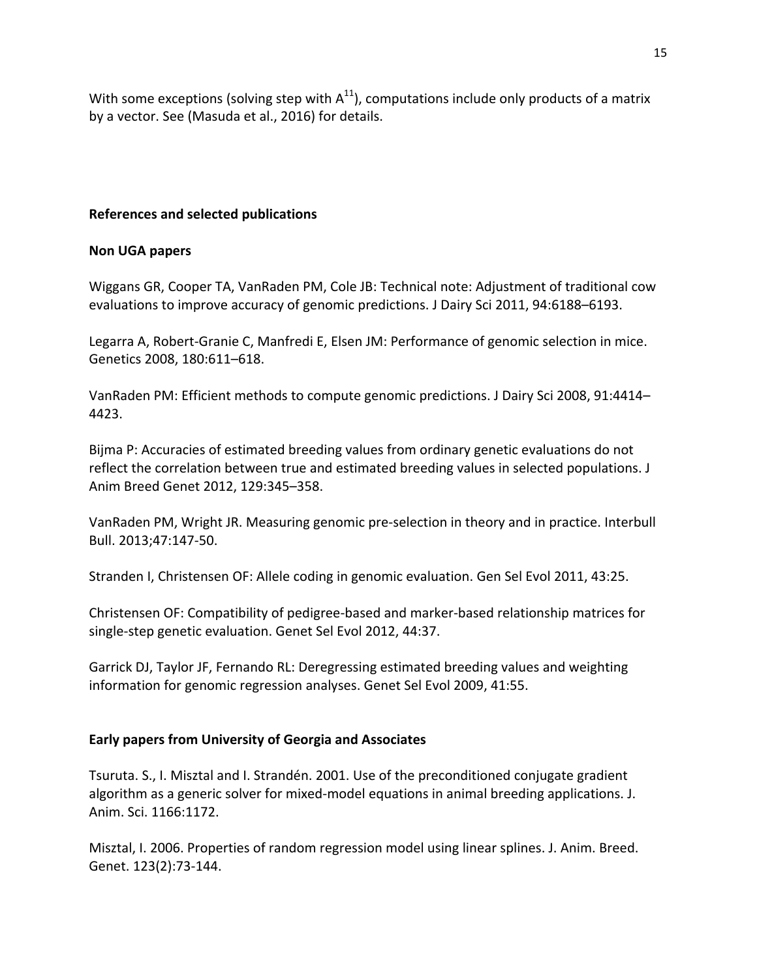With some exceptions (solving step with  $A^{11}$ ), computations include only products of a matrix by a vector. See (Masuda et al., 2016) for details.

# **References and selected publications**

# **Non UGA papers**

Wiggans GR, Cooper TA, VanRaden PM, Cole JB: Technical note: Adjustment of traditional cow evaluations to improve accuracy of genomic predictions. J Dairy Sci 2011, 94:6188-6193.

Legarra A, Robert-Granie C, Manfredi E, Elsen JM: Performance of genomic selection in mice. Genetics 2008, 180:611-618.

VanRaden PM: Efficient methods to compute genomic predictions. J Dairy Sci 2008, 91:4414– 4423.

Bijma P: Accuracies of estimated breeding values from ordinary genetic evaluations do not reflect the correlation between true and estimated breeding values in selected populations. J Anim Breed Genet 2012, 129:345-358.

VanRaden PM, Wright JR. Measuring genomic pre-selection in theory and in practice. Interbull Bull. 2013;47:147-50.

Stranden I, Christensen OF: Allele coding in genomic evaluation. Gen Sel Evol 2011, 43:25.

Christensen OF: Compatibility of pedigree-based and marker-based relationship matrices for single-step genetic evaluation. Genet Sel Evol 2012, 44:37.

Garrick DJ, Taylor JF, Fernando RL: Deregressing estimated breeding values and weighting information for genomic regression analyses. Genet Sel Evol 2009, 41:55.

# Early papers from University of Georgia and Associates

Tsuruta. S., I. Misztal and I. Strandén. 2001. Use of the preconditioned conjugate gradient algorithm as a generic solver for mixed-model equations in animal breeding applications. J. Anim. Sci. 1166:1172.

Misztal, I. 2006. Properties of random regression model using linear splines. J. Anim. Breed. Genet. 123(2):73-144.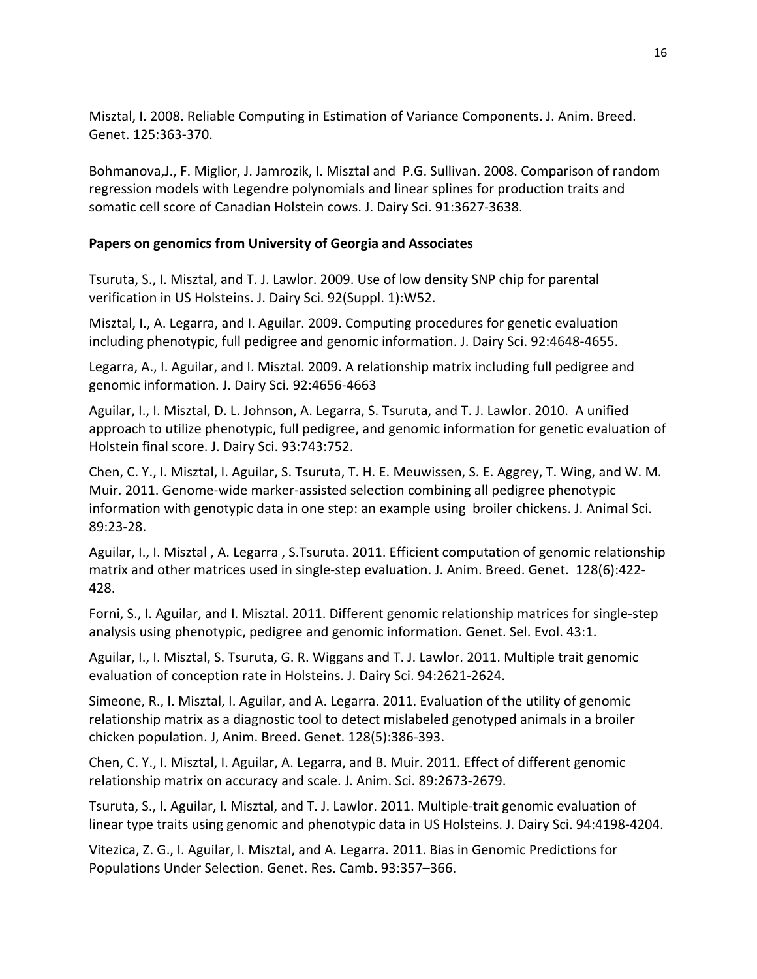Misztal, I. 2008. Reliable Computing in Estimation of Variance Components. J. Anim. Breed. Genet. 125:363-370.

Bohmanova, J., F. Miglior, J. Jamrozik, I. Misztal and P.G. Sullivan. 2008. Comparison of random regression models with Legendre polynomials and linear splines for production traits and somatic cell score of Canadian Holstein cows. J. Dairy Sci. 91:3627-3638.

# Papers on genomics from University of Georgia and Associates

Tsuruta, S., I. Misztal, and T. J. Lawlor. 2009. Use of low density SNP chip for parental verification in US Holsteins. J. Dairy Sci. 92(Suppl. 1):W52.

Misztal, I., A. Legarra, and I. Aguilar. 2009. Computing procedures for genetic evaluation including phenotypic, full pedigree and genomic information. J. Dairy Sci. 92:4648-4655.

Legarra, A., I. Aguilar, and I. Misztal. 2009. A relationship matrix including full pedigree and genomic information. J. Dairy Sci. 92:4656-4663

Aguilar, I., I. Misztal, D. L. Johnson, A. Legarra, S. Tsuruta, and T. J. Lawlor. 2010. A unified approach to utilize phenotypic, full pedigree, and genomic information for genetic evaluation of Holstein final score. J. Dairy Sci. 93:743:752.

Chen, C. Y., I. Misztal, I. Aguilar, S. Tsuruta, T. H. E. Meuwissen, S. E. Aggrey, T. Wing, and W. M. Muir. 2011. Genome-wide marker-assisted selection combining all pedigree phenotypic information with genotypic data in one step: an example using broiler chickens. J. Animal Sci. 89:23-28.

Aguilar, I., I. Misztal, A. Legarra, S.Tsuruta. 2011. Efficient computation of genomic relationship matrix and other matrices used in single-step evaluation. J. Anim. Breed. Genet. 128(6):422-428.

Forni, S., I. Aguilar, and I. Misztal. 2011. Different genomic relationship matrices for single-step analysis using phenotypic, pedigree and genomic information. Genet. Sel. Evol. 43:1.

Aguilar, I., I. Misztal, S. Tsuruta, G. R. Wiggans and T. J. Lawlor. 2011. Multiple trait genomic evaluation of conception rate in Holsteins. J. Dairy Sci. 94:2621-2624.

Simeone, R., I. Misztal, I. Aguilar, and A. Legarra. 2011. Evaluation of the utility of genomic relationship matrix as a diagnostic tool to detect mislabeled genotyped animals in a broiler chicken population. J. Anim. Breed. Genet. 128(5):386-393.

Chen, C. Y., I. Misztal, I. Aguilar, A. Legarra, and B. Muir. 2011. Effect of different genomic relationship matrix on accuracy and scale. J. Anim. Sci. 89:2673-2679.

Tsuruta, S., I. Aguilar, I. Misztal, and T. J. Lawlor. 2011. Multiple-trait genomic evaluation of linear type traits using genomic and phenotypic data in US Holsteins. J. Dairy Sci. 94:4198-4204.

Vitezica, Z. G., I. Aguilar, I. Misztal, and A. Legarra. 2011. Bias in Genomic Predictions for Populations Under Selection. Genet. Res. Camb. 93:357-366.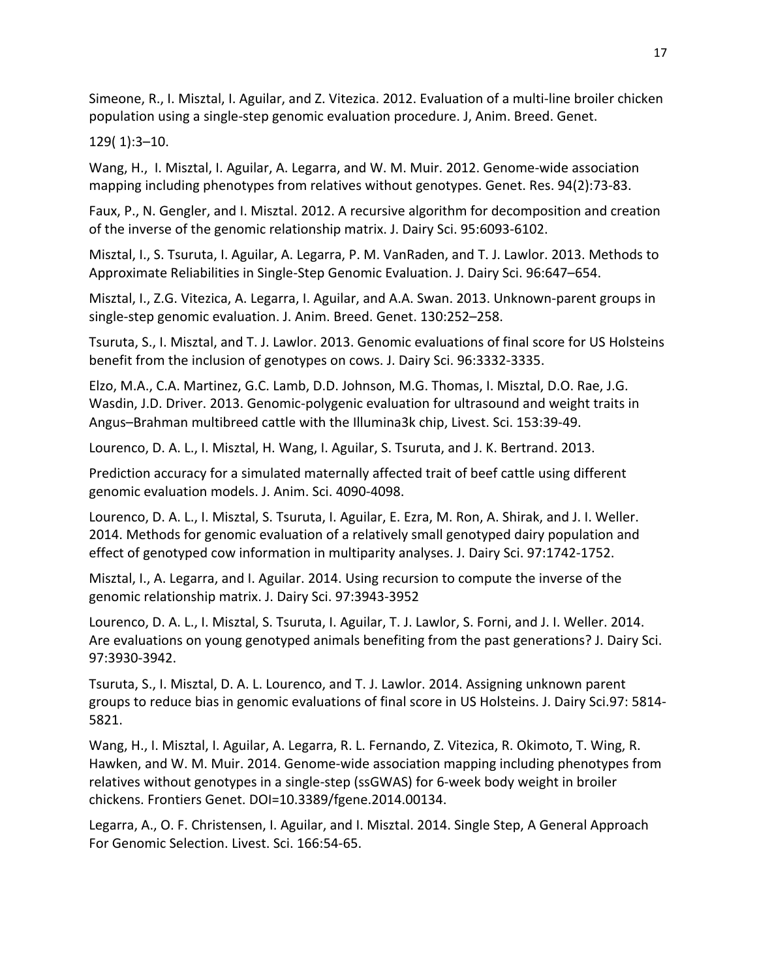Simeone, R., I. Misztal, I. Aguilar, and Z. Vitezica. 2012. Evaluation of a multi-line broiler chicken population using a single-step genomic evaluation procedure. J, Anim. Breed. Genet.

129( 1):3–10.

Wang, H., I. Misztal, I. Aguilar, A. Legarra, and W. M. Muir. 2012. Genome-wide association mapping including phenotypes from relatives without genotypes. Genet. Res. 94(2):73-83.

Faux, P., N. Gengler, and I. Misztal. 2012. A recursive algorithm for decomposition and creation of the inverse of the genomic relationship matrix. J. Dairy Sci. 95:6093-6102.

Misztal, I., S. Tsuruta, I. Aguilar, A. Legarra, P. M. VanRaden, and T. J. Lawlor. 2013. Methods to Approximate Reliabilities in Single-Step Genomic Evaluation. J. Dairy Sci. 96:647–654.

Misztal, I., Z.G. Vitezica, A. Legarra, I. Aguilar, and A.A. Swan. 2013. Unknown-parent groups in single-step genomic evaluation. J. Anim. Breed. Genet. 130:252–258.

Tsuruta, S., I. Misztal, and T. J. Lawlor. 2013. Genomic evaluations of final score for US Holsteins benefit from the inclusion of genotypes on cows. J. Dairy Sci. 96:3332-3335.

Elzo, M.A., C.A. Martinez, G.C. Lamb, D.D. Johnson, M.G. Thomas, I. Misztal, D.O. Rae, J.G. Wasdin, J.D. Driver. 2013. Genomic-polygenic evaluation for ultrasound and weight traits in Angus-Brahman multibreed cattle with the Illumina3k chip, Livest. Sci. 153:39-49.

Lourenco, D. A. L., I. Misztal, H. Wang, I. Aguilar, S. Tsuruta, and J. K. Bertrand. 2013.

Prediction accuracy for a simulated maternally affected trait of beef cattle using different genomic evaluation models. J. Anim. Sci. 4090-4098.

Lourenco, D. A. L., I. Misztal, S. Tsuruta, I. Aguilar, E. Ezra, M. Ron, A. Shirak, and J. I. Weller. 2014. Methods for genomic evaluation of a relatively small genotyped dairy population and effect of genotyped cow information in multiparity analyses. J. Dairy Sci. 97:1742-1752.

Misztal, I., A. Legarra, and I. Aguilar. 2014. Using recursion to compute the inverse of the genomic relationship matrix. J. Dairy Sci. 97:3943-3952

Lourenco, D. A. L., I. Misztal, S. Tsuruta, I. Aguilar, T. J. Lawlor, S. Forni, and J. I. Weller. 2014. Are evaluations on young genotyped animals benefiting from the past generations? J. Dairy Sci. 97:3930-3942.

Tsuruta, S., I. Misztal, D. A. L. Lourenco, and T. J. Lawlor. 2014. Assigning unknown parent groups to reduce bias in genomic evaluations of final score in US Holsteins. J. Dairy Sci.97: 5814-5821.

Wang, H., I. Misztal, I. Aguilar, A. Legarra, R. L. Fernando, Z. Vitezica, R. Okimoto, T. Wing, R. Hawken, and W. M. Muir. 2014. Genome-wide association mapping including phenotypes from relatives without genotypes in a single-step (ssGWAS) for 6-week body weight in broiler chickens. Frontiers Genet. DOI=10.3389/fgene.2014.00134. 

Legarra, A., O. F. Christensen, I. Aguilar, and I. Misztal. 2014. Single Step, A General Approach For Genomic Selection. Livest. Sci. 166:54-65.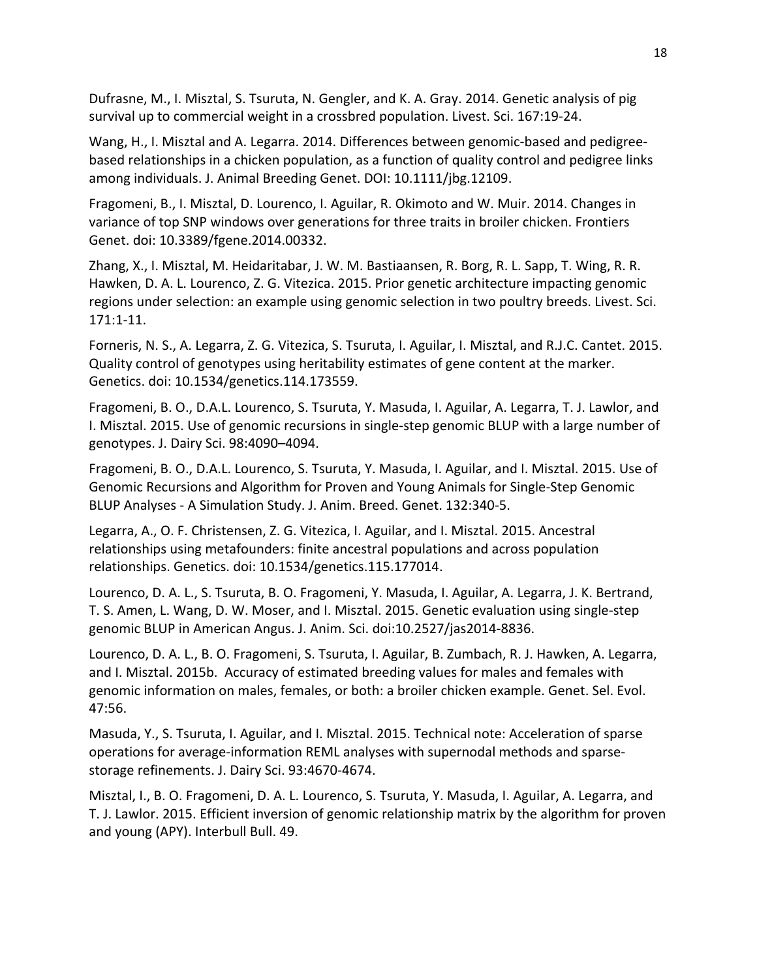Dufrasne, M., I. Misztal, S. Tsuruta, N. Gengler, and K. A. Gray. 2014. Genetic analysis of pig survival up to commercial weight in a crossbred population. Livest. Sci. 167:19-24.

Wang, H., I. Misztal and A. Legarra. 2014. Differences between genomic-based and pedigreebased relationships in a chicken population, as a function of quality control and pedigree links among individuals. J. Animal Breeding Genet. DOI: 10.1111/jbg.12109.

Fragomeni, B., I. Misztal, D. Lourenco, I. Aguilar, R. Okimoto and W. Muir. 2014. Changes in variance of top SNP windows over generations for three traits in broiler chicken. Frontiers Genet. doi: 10.3389/fgene.2014.00332.

Zhang, X., I. Misztal, M. Heidaritabar, J. W. M. Bastiaansen, R. Borg, R. L. Sapp, T. Wing, R. R. Hawken, D. A. L. Lourenco, Z. G. Vitezica. 2015. Prior genetic architecture impacting genomic regions under selection: an example using genomic selection in two poultry breeds. Livest. Sci. 171:1-11.

Forneris, N. S., A. Legarra, Z. G. Vitezica, S. Tsuruta, I. Aguilar, I. Misztal, and R.J.C. Cantet. 2015. Quality control of genotypes using heritability estimates of gene content at the marker. Genetics. doi: 10.1534/genetics.114.173559.

Fragomeni, B. O., D.A.L. Lourenco, S. Tsuruta, Y. Masuda, I. Aguilar, A. Legarra, T. J. Lawlor, and I. Misztal. 2015. Use of genomic recursions in single-step genomic BLUP with a large number of genotypes. J. Dairy Sci. 98:4090–4094.

Fragomeni, B. O., D.A.L. Lourenco, S. Tsuruta, Y. Masuda, I. Aguilar, and I. Misztal. 2015. Use of Genomic Recursions and Algorithm for Proven and Young Animals for Single-Step Genomic BLUP Analyses - A Simulation Study. J. Anim. Breed. Genet. 132:340-5.

Legarra, A., O. F. Christensen, Z. G. Vitezica, I. Aguilar, and I. Misztal. 2015. Ancestral relationships using metafounders: finite ancestral populations and across population relationships. Genetics. doi: 10.1534/genetics.115.177014.

Lourenco, D. A. L., S. Tsuruta, B. O. Fragomeni, Y. Masuda, I. Aguilar, A. Legarra, J. K. Bertrand, T. S. Amen, L. Wang, D. W. Moser, and I. Misztal. 2015. Genetic evaluation using single-step genomic BLUP in American Angus. J. Anim. Sci. doi:10.2527/jas2014-8836.

Lourenco, D. A. L., B. O. Fragomeni, S. Tsuruta, I. Aguilar, B. Zumbach, R. J. Hawken, A. Legarra, and I. Misztal. 2015b. Accuracy of estimated breeding values for males and females with genomic information on males, females, or both: a broiler chicken example. Genet. Sel. Evol. 47:56.

Masuda, Y., S. Tsuruta, I. Aguilar, and I. Misztal. 2015. Technical note: Acceleration of sparse operations for average-information REML analyses with supernodal methods and sparsestorage refinements. J. Dairy Sci. 93:4670-4674.

Misztal, I., B. O. Fragomeni, D. A. L. Lourenco, S. Tsuruta, Y. Masuda, I. Aguilar, A. Legarra, and T. J. Lawlor. 2015. Efficient inversion of genomic relationship matrix by the algorithm for proven and young (APY). Interbull Bull. 49.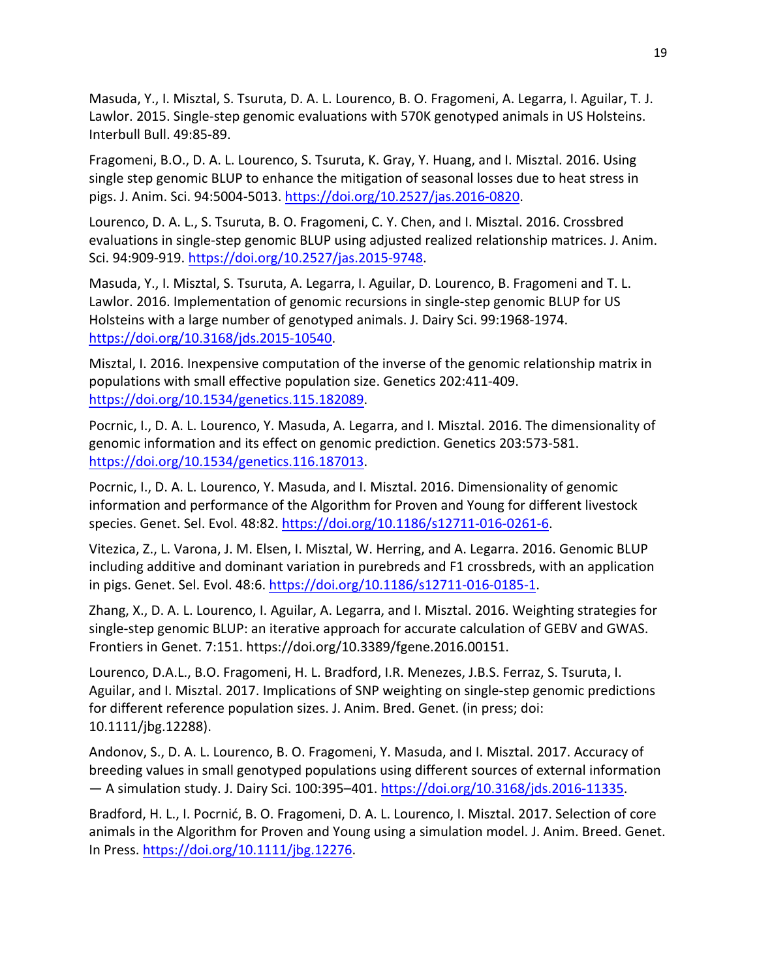Masuda, Y., I. Misztal, S. Tsuruta, D. A. L. Lourenco, B. O. Fragomeni, A. Legarra, I. Aguilar, T. J. Lawlor. 2015. Single-step genomic evaluations with 570K genotyped animals in US Holsteins. Interbull Bull. 49:85-89.

Fragomeni, B.O., D. A. L. Lourenco, S. Tsuruta, K. Gray, Y. Huang, and I. Misztal. 2016. Using single step genomic BLUP to enhance the mitigation of seasonal losses due to heat stress in pigs. J. Anim. Sci. 94:5004-5013. https://doi.org/10.2527/jas.2016-0820.

Lourenco, D. A. L., S. Tsuruta, B. O. Fragomeni, C. Y. Chen, and I. Misztal. 2016. Crossbred evaluations in single-step genomic BLUP using adjusted realized relationship matrices. J. Anim. Sci. 94:909-919. https://doi.org/10.2527/jas.2015-9748.

Masuda, Y., I. Misztal, S. Tsuruta, A. Legarra, I. Aguilar, D. Lourenco, B. Fragomeni and T. L. Lawlor. 2016. Implementation of genomic recursions in single-step genomic BLUP for US Holsteins with a large number of genotyped animals. J. Dairy Sci. 99:1968-1974. https://doi.org/10.3168/jds.2015-10540.

Misztal, I. 2016. Inexpensive computation of the inverse of the genomic relationship matrix in populations with small effective population size. Genetics 202:411-409. https://doi.org/10.1534/genetics.115.182089.

Pocrnic, I., D. A. L. Lourenco, Y. Masuda, A. Legarra, and I. Misztal. 2016. The dimensionality of genomic information and its effect on genomic prediction. Genetics 203:573-581. https://doi.org/10.1534/genetics.116.187013.

Pocrnic, I., D. A. L. Lourenco, Y. Masuda, and I. Misztal. 2016. Dimensionality of genomic information and performance of the Algorithm for Proven and Young for different livestock species. Genet. Sel. Evol. 48:82. https://doi.org/10.1186/s12711-016-0261-6.

Vitezica, Z., L. Varona, J. M. Elsen, I. Misztal, W. Herring, and A. Legarra. 2016. Genomic BLUP including additive and dominant variation in purebreds and F1 crossbreds, with an application in pigs. Genet. Sel. Evol. 48:6. https://doi.org/10.1186/s12711-016-0185-1.

Zhang, X., D. A. L. Lourenco, I. Aguilar, A. Legarra, and I. Misztal. 2016. Weighting strategies for single-step genomic BLUP: an iterative approach for accurate calculation of GEBV and GWAS. Frontiers in Genet. 7:151. https://doi.org/10.3389/fgene.2016.00151.

Lourenco, D.A.L., B.O. Fragomeni, H. L. Bradford, I.R. Menezes, J.B.S. Ferraz, S. Tsuruta, I. Aguilar, and I. Misztal. 2017. Implications of SNP weighting on single-step genomic predictions for different reference population sizes. J. Anim. Bred. Genet. (in press; doi: 10.1111/jbg.12288).

Andonov, S., D. A. L. Lourenco, B. O. Fragomeni, Y. Masuda, and I. Misztal. 2017. Accuracy of breeding values in small genotyped populations using different sources of external information — A simulation study. J. Dairy Sci. 100:395-401. https://doi.org/10.3168/jds.2016-11335.

Bradford, H. L., I. Pocrnić, B. O. Fragomeni, D. A. L. Lourenco, I. Misztal. 2017. Selection of core animals in the Algorithm for Proven and Young using a simulation model. J. Anim. Breed. Genet. In Press. https://doi.org/10.1111/jbg.12276.